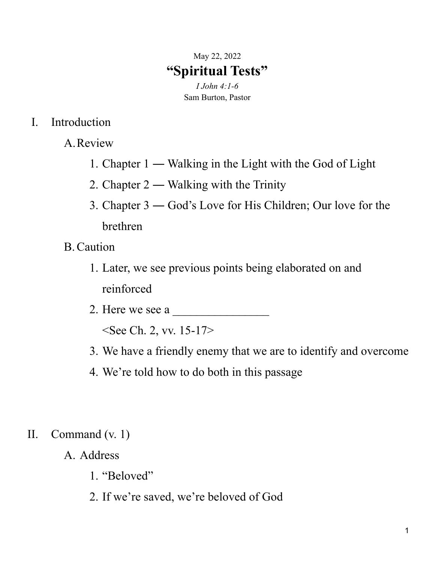## May 22, 2022 **"Spiritual Tests"**

*I John 4:1-6* Sam Burton, Pastor

- I. Introduction
	- A.Review
		- 1. Chapter 1 ― Walking in the Light with the God of Light
		- 2. Chapter 2 ― Walking with the Trinity
		- 3. Chapter 3 ― God's Love for His Children; Our love for the brethren
	- B.Caution
		- 1. Later, we see previous points being elaborated on and reinforced
		- 2. Here we see a

<See Ch. 2, vv. 15-17>

- 3. We have a friendly enemy that we are to identify and overcome
- 4. We're told how to do both in this passage

## II. Command (v. 1)

- A. Address
	- 1. "Beloved"
	- 2. If we're saved, we're beloved of God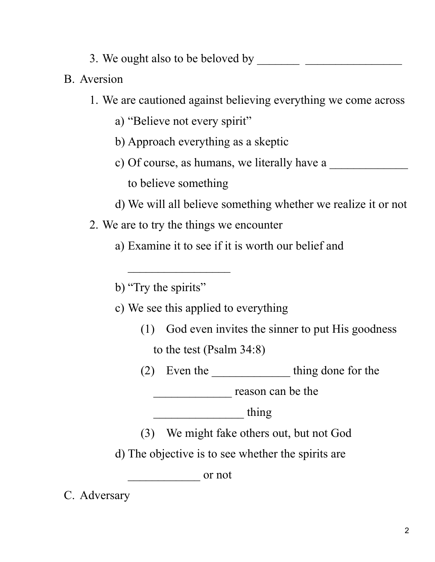- 3. We ought also to be beloved by \_\_\_\_\_\_\_ \_\_\_\_\_\_\_\_\_\_\_\_\_\_\_\_
- B. Aversion
	- 1. We are cautioned against believing everything we come across
		- a) "Believe not every spirit"
		- b) Approach everything as a skeptic
		- c) Of course, as humans, we literally have a to believe something
		- d) We will all believe something whether we realize it or not
	- 2. We are to try the things we encounter

 $\overline{\phantom{a}}$ 

a) Examine it to see if it is worth our belief and

b) "Try the spirits"

c) We see this applied to everything

- (1) God even invites the sinner to put His goodness to the test (Psalm 34:8)
- (2) Even the \_\_\_\_\_\_\_\_\_\_\_\_\_ thing done for the

\_\_\_\_\_\_\_\_\_\_\_\_\_ reason can be the

\_\_\_\_\_\_\_\_\_\_\_\_\_\_\_ thing

(3) We might fake others out, but not God

d) The objective is to see whether the spirits are

 $\overline{\phantom{a}}$  or not

C. Adversary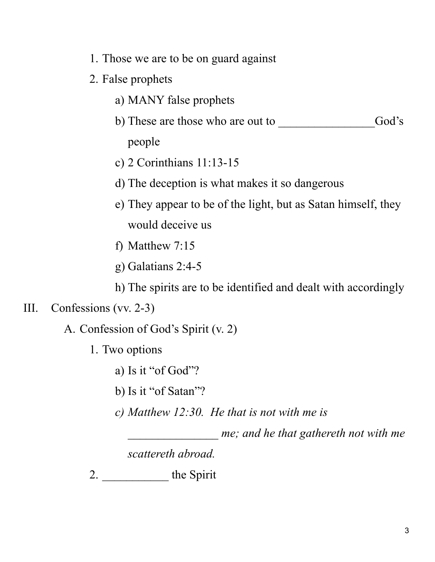- 1. Those we are to be on guard against
- 2. False prophets
	- a) MANY false prophets
	- b) These are those who are out to God's people
	- c) 2 Corinthians 11:13-15
	- d) The deception is what makes it so dangerous
	- e) They appear to be of the light, but as Satan himself, they would deceive us
	- f) Matthew 7:15
	- g) Galatians 2:4-5

h) The spirits are to be identified and dealt with accordingly

## III. Confessions (vv. 2-3)

A. Confession of God's Spirit (v. 2)

- 1. Two options
	- a) Is it "of God"?
	- b) Is it "of Satan"?
	- *c) Matthew 12:30. He that is not with me is*

*\_\_\_\_\_\_\_\_\_\_\_\_\_\_\_ me; and he that gathereth not with me*

*scattereth abroad.*

2. \_\_\_\_\_\_\_\_\_\_\_ the Spirit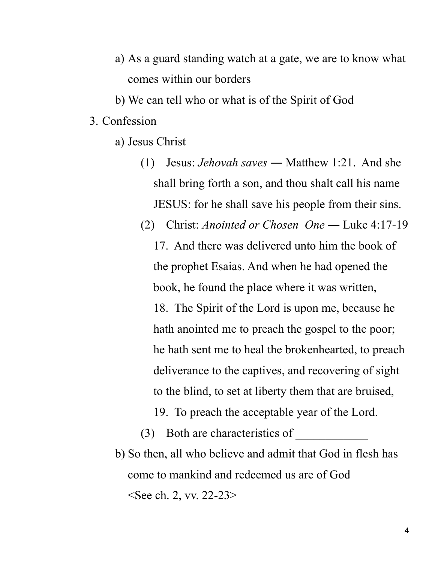- a) As a guard standing watch at a gate, we are to know what comes within our borders
- b) We can tell who or what is of the Spirit of God
- 3. Confession
	- a) Jesus Christ
		- (1) Jesus: *Jehovah saves* ― Matthew 1:21. And she shall bring forth a son, and thou shalt call his name JESUS: for he shall save his people from their sins.
		- (2) Christ: *Anointed or Chosen One* ― Luke 4:17-19 17. And there was delivered unto him the book of the prophet Esaias. And when he had opened the book, he found the place where it was written, 18. The Spirit of the Lord is upon me, because he hath anointed me to preach the gospel to the poor; he hath sent me to heal the brokenhearted, to preach deliverance to the captives, and recovering of sight to the blind, to set at liberty them that are bruised,
			- 19. To preach the acceptable year of the Lord.

b) So then, all who believe and admit that God in flesh has come to mankind and redeemed us are of God <See ch. 2, vv. 22-23>

 $(3)$  Both are characteristics of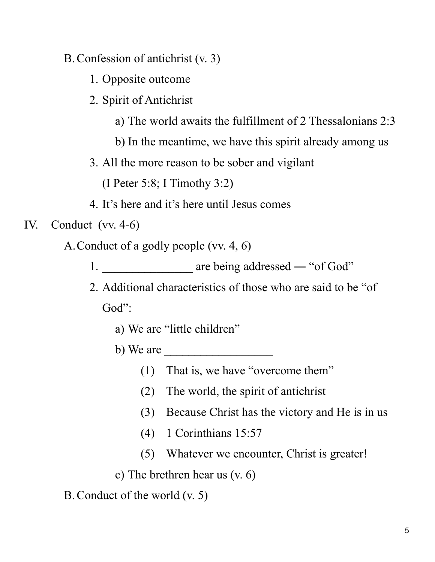- B.Confession of antichrist (v. 3)
	- 1. Opposite outcome
	- 2. Spirit of Antichrist
		- a) The world awaits the fulfillment of 2 Thessalonians 2:3
		- b) In the meantime, we have this spirit already among us
	- 3. All the more reason to be sober and vigilant

(I Peter 5:8; I Timothy 3:2)

- 4. It's here and it's here until Jesus comes
- IV. Conduct (vv. 4-6)
	- A.Conduct of a godly people (vv. 4, 6)
		- 1. **are being addressed "of God"**
		- 2. Additional characteristics of those who are said to be "of God":
			- a) We are "little children"
			- b) We are
				- (1) That is, we have "overcome them"
				- (2) The world, the spirit of antichrist
				- (3) Because Christ has the victory and He is in us
				- (4) 1 Corinthians 15:57
				- (5) Whatever we encounter, Christ is greater!
			- c) The brethren hear us (v. 6)
	- B.Conduct of the world (v. 5)